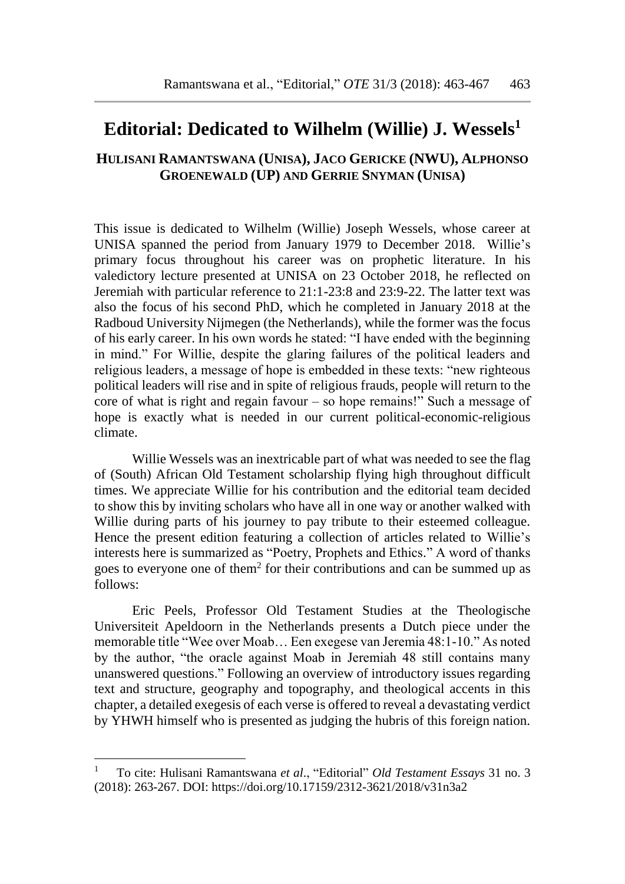## **Editorial: Dedicated to Wilhelm (Willie) J. Wessels<sup>1</sup>**

## **HULISANI RAMANTSWANA (UNISA), JACO GERICKE (NWU), ALPHONSO GROENEWALD (UP) AND GERRIE SNYMAN (UNISA)**

This issue is dedicated to Wilhelm (Willie) Joseph Wessels, whose career at UNISA spanned the period from January 1979 to December 2018. Willie's primary focus throughout his career was on prophetic literature. In his valedictory lecture presented at UNISA on 23 October 2018, he reflected on Jeremiah with particular reference to 21:1-23:8 and 23:9-22. The latter text was also the focus of his second PhD, which he completed in January 2018 at the Radboud University Nijmegen (the Netherlands), while the former was the focus of his early career. In his own words he stated: "I have ended with the beginning in mind." For Willie, despite the glaring failures of the political leaders and religious leaders, a message of hope is embedded in these texts: "new righteous political leaders will rise and in spite of religious frauds, people will return to the core of what is right and regain favour – so hope remains!" Such a message of hope is exactly what is needed in our current political-economic-religious climate.

Willie Wessels was an inextricable part of what was needed to see the flag of (South) African Old Testament scholarship flying high throughout difficult times. We appreciate Willie for his contribution and the editorial team decided to show this by inviting scholars who have all in one way or another walked with Willie during parts of his journey to pay tribute to their esteemed colleague. Hence the present edition featuring a collection of articles related to Willie's interests here is summarized as "Poetry, Prophets and Ethics." A word of thanks goes to everyone one of them<sup>2</sup> for their contributions and can be summed up as follows:

Eric Peels, Professor Old Testament Studies at the Theologische Universiteit Apeldoorn in the Netherlands presents a Dutch piece under the memorable title "Wee over Moab… Een exegese van Jeremia 48:1-10." As noted by the author, "the oracle against Moab in Jeremiah 48 still contains many unanswered questions." Following an overview of introductory issues regarding text and structure, geography and topography, and theological accents in this chapter, a detailed exegesis of each verse is offered to reveal a devastating verdict by YHWH himself who is presented as judging the hubris of this foreign nation.

 $\overline{a}$ 

<sup>1</sup> To cite: Hulisani Ramantswana *et al*., "Editorial" *Old Testament Essays* 31 no. 3 (2018): 263-267. DOI: https://doi.org/10.17159/2312-3621/2018/v31n3a2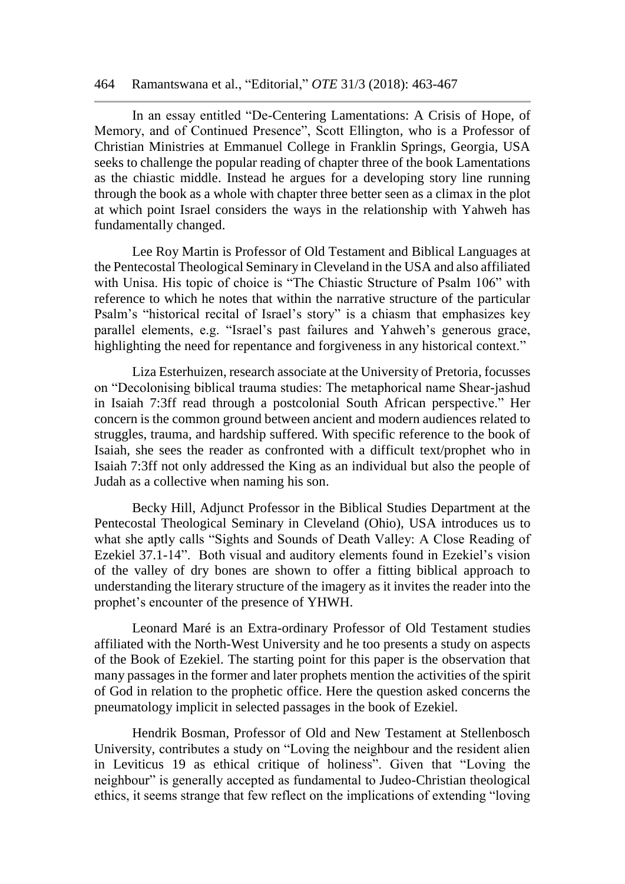## 464 Ramantswana et al., "Editorial," *OTE* 31/3 (2018): 463-467

In an essay entitled "De-Centering Lamentations: A Crisis of Hope, of Memory, and of Continued Presence", Scott Ellington, who is a Professor of Christian Ministries at Emmanuel College in Franklin Springs, Georgia, USA seeks to challenge the popular reading of chapter three of the book Lamentations as the chiastic middle. Instead he argues for a developing story line running through the book as a whole with chapter three better seen as a climax in the plot at which point Israel considers the ways in the relationship with Yahweh has fundamentally changed.

Lee Roy Martin is Professor of Old Testament and Biblical Languages at the Pentecostal Theological Seminary in Cleveland in the USA and also affiliated with Unisa. His topic of choice is "The Chiastic Structure of Psalm 106" with reference to which he notes that within the narrative structure of the particular Psalm's "historical recital of Israel's story" is a chiasm that emphasizes key parallel elements, e.g. "Israel's past failures and Yahweh's generous grace, highlighting the need for repentance and forgiveness in any historical context."

Liza Esterhuizen, research associate at the University of Pretoria, focusses on "Decolonising biblical trauma studies: The metaphorical name Shear-jashud in Isaiah 7:3ff read through a postcolonial South African perspective." Her concern is the common ground between ancient and modern audiences related to struggles, trauma, and hardship suffered. With specific reference to the book of Isaiah, she sees the reader as confronted with a difficult text/prophet who in Isaiah 7:3ff not only addressed the King as an individual but also the people of Judah as a collective when naming his son.

Becky Hill, Adjunct Professor in the Biblical Studies Department at the Pentecostal Theological Seminary in Cleveland (Ohio), USA introduces us to what she aptly calls "Sights and Sounds of Death Valley: A Close Reading of Ezekiel 37.1-14". Both visual and auditory elements found in Ezekiel's vision of the valley of dry bones are shown to offer a fitting biblical approach to understanding the literary structure of the imagery as it invites the reader into the prophet's encounter of the presence of YHWH.

Leonard Maré is an Extra-ordinary Professor of Old Testament studies affiliated with the North-West University and he too presents a study on aspects of the Book of Ezekiel. The starting point for this paper is the observation that many passages in the former and later prophets mention the activities of the spirit of God in relation to the prophetic office. Here the question asked concerns the pneumatology implicit in selected passages in the book of Ezekiel.

Hendrik Bosman, Professor of Old and New Testament at Stellenbosch University, contributes a study on "Loving the neighbour and the resident alien in Leviticus 19 as ethical critique of holiness". Given that "Loving the neighbour" is generally accepted as fundamental to Judeo-Christian theological ethics, it seems strange that few reflect on the implications of extending "loving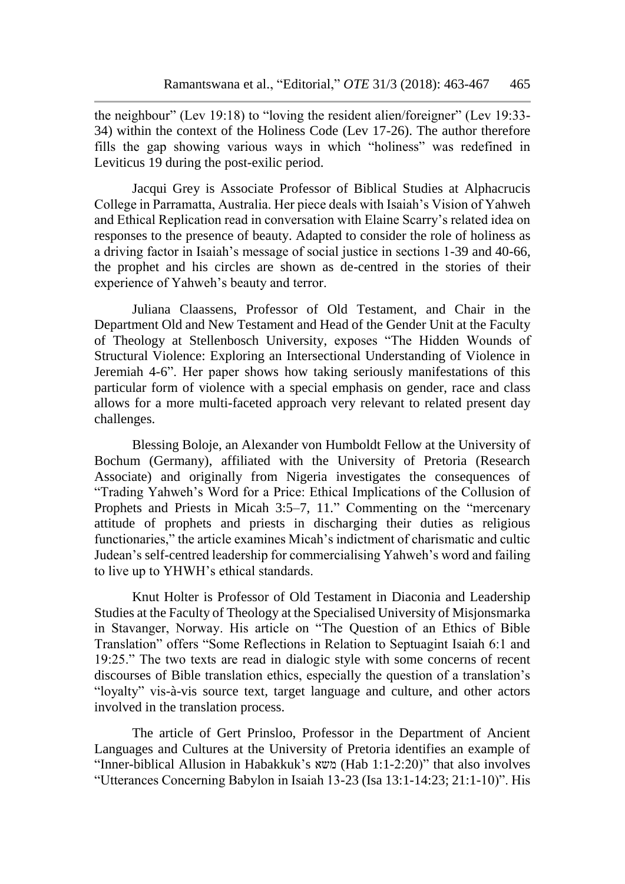the neighbour" (Lev 19:18) to "loving the resident alien/foreigner" (Lev 19:33- 34) within the context of the Holiness Code (Lev 17-26). The author therefore fills the gap showing various ways in which "holiness" was redefined in Leviticus 19 during the post-exilic period.

Jacqui Grey is Associate Professor of Biblical Studies at Alphacrucis College in Parramatta, Australia. Her piece deals with Isaiah's Vision of Yahweh and Ethical Replication read in conversation with Elaine Scarry's related idea on responses to the presence of beauty. Adapted to consider the role of holiness as a driving factor in Isaiah's message of social justice in sections 1-39 and 40-66, the prophet and his circles are shown as de-centred in the stories of their experience of Yahweh's beauty and terror.

Juliana Claassens, Professor of Old Testament, and Chair in the Department Old and New Testament and Head of the Gender Unit at the Faculty of Theology at Stellenbosch University, exposes "The Hidden Wounds of Structural Violence: Exploring an Intersectional Understanding of Violence in Jeremiah 4-6". Her paper shows how taking seriously manifestations of this particular form of violence with a special emphasis on gender, race and class allows for a more multi-faceted approach very relevant to related present day challenges.

Blessing Boloje, an Alexander von Humboldt Fellow at the University of Bochum (Germany), affiliated with the University of Pretoria (Research Associate) and originally from Nigeria investigates the consequences of "Trading Yahweh's Word for a Price: Ethical Implications of the Collusion of Prophets and Priests in Micah 3:5–7, 11." Commenting on the "mercenary attitude of prophets and priests in discharging their duties as religious functionaries," the article examines Micah's indictment of charismatic and cultic Judean's self-centred leadership for commercialising Yahweh's word and failing to live up to YHWH's ethical standards.

Knut Holter is Professor of Old Testament in Diaconia and Leadership Studies at the Faculty of Theology at the Specialised University of Misjonsmarka in Stavanger, Norway. His article on "The Question of an Ethics of Bible Translation" offers "Some Reflections in Relation to Septuagint Isaiah 6:1 and 19:25." The two texts are read in dialogic style with some concerns of recent discourses of Bible translation ethics, especially the question of a translation's "loyalty" vis-à-vis source text, target language and culture, and other actors involved in the translation process.

The article of Gert Prinsloo, Professor in the Department of Ancient Languages and Cultures at the University of Pretoria identifies an example of "Inner-biblical Allusion in Habakkuk's משא) Hab 1:1-2:20)" that also involves "Utterances Concerning Babylon in Isaiah 13-23 (Isa 13:1-14:23; 21:1-10)". His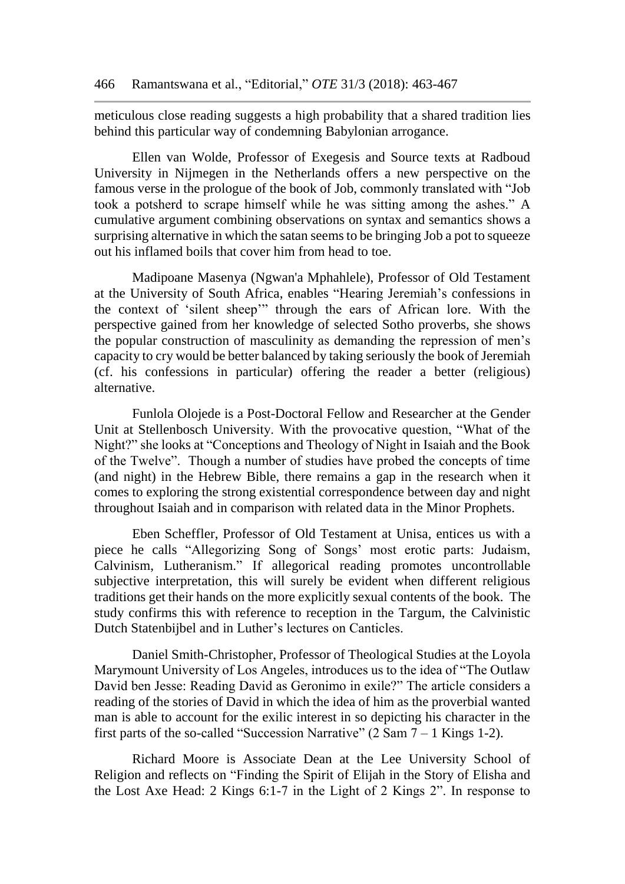meticulous close reading suggests a high probability that a shared tradition lies behind this particular way of condemning Babylonian arrogance.

Ellen van Wolde, Professor of Exegesis and Source texts at Radboud University in Nijmegen in the Netherlands offers a new perspective on the famous verse in the prologue of the book of Job, commonly translated with "Job took a potsherd to scrape himself while he was sitting among the ashes." A cumulative argument combining observations on syntax and semantics shows a surprising alternative in which the satan seems to be bringing Job a pot to squeeze out his inflamed boils that cover him from head to toe.

Madipoane Masenya (Ngwan'a Mphahlele), Professor of Old Testament at the University of South Africa, enables "Hearing Jeremiah's confessions in the context of 'silent sheep'" through the ears of African lore. With the perspective gained from her knowledge of selected Sotho proverbs, she shows the popular construction of masculinity as demanding the repression of men's capacity to cry would be better balanced by taking seriously the book of Jeremiah (cf. his confessions in particular) offering the reader a better (religious) alternative.

Funlola Olojede is a Post-Doctoral Fellow and Researcher at the Gender Unit at Stellenbosch University. With the provocative question, "What of the Night?" she looks at "Conceptions and Theology of Night in Isaiah and the Book of the Twelve". Though a number of studies have probed the concepts of time (and night) in the Hebrew Bible, there remains a gap in the research when it comes to exploring the strong existential correspondence between day and night throughout Isaiah and in comparison with related data in the Minor Prophets.

Eben Scheffler, Professor of Old Testament at Unisa, entices us with a piece he calls "Allegorizing Song of Songs' most erotic parts: Judaism, Calvinism, Lutheranism." If allegorical reading promotes uncontrollable subjective interpretation, this will surely be evident when different religious traditions get their hands on the more explicitly sexual contents of the book. The study confirms this with reference to reception in the Targum, the Calvinistic Dutch Statenbijbel and in Luther's lectures on Canticles.

Daniel Smith-Christopher, Professor of Theological Studies at the Loyola Marymount University of Los Angeles, introduces us to the idea of "The Outlaw David ben Jesse: Reading David as Geronimo in exile?" The article considers a reading of the stories of David in which the idea of him as the proverbial wanted man is able to account for the exilic interest in so depicting his character in the first parts of the so-called "Succession Narrative" (2 Sam  $7 - 1$  Kings 1-2).

Richard Moore is Associate Dean at the Lee University School of Religion and reflects on "Finding the Spirit of Elijah in the Story of Elisha and the Lost Axe Head: 2 Kings 6:1-7 in the Light of 2 Kings 2". In response to